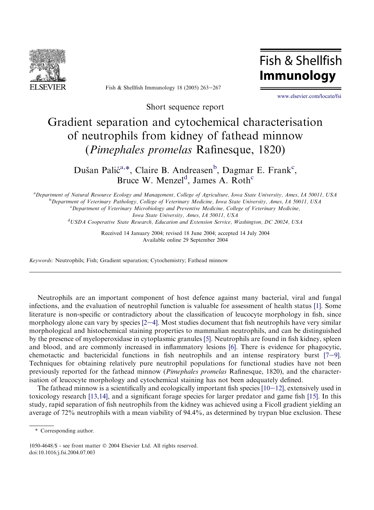

Fish & Shellfish Immunology 18 (2005)  $263-267$ 

Fish & Shellfish **Immunology** 

[www.elsevier.com/locate/fsi](http://www.elsevier.com/locate/fsi)

Short sequence report

## Gradient separation and cytochemical characterisation of neutrophils from kidney of fathead minnow (Pimephales promelas Rafinesque, 1820)

Dušan Palić<sup>a,\*</sup>, Claire B. Andreasen<sup>b</sup>, Dagmar E. Frank<sup>c</sup>, Bruce W. Menzel<sup>d</sup>, James A. Roth<sup>c</sup>

a Department of Natural Resource Ecology and Management, College of Agriculture, Iowa State University, Ames, IA 50011, USA b Department of Veterinary Pathology, College of Veterinary Medicine, Iowa State University, Ames, IA 50011, USA <sup>c</sup>Department of Veterinary Microbiology and Preventive Medicine, College of Veterinary Medicine, Iowa State University, Ames, IA 50011, USA <sup>d</sup>USDA Cooperative State Research, Education and Extension Service, Washington, DC 20024, USA

> Received 14 January 2004; revised 18 June 2004; accepted 14 July 2004 Available online 29 September 2004

Keywords: Neutrophils; Fish; Gradient separation; Cytochemistry; Fathead minnow

Neutrophils are an important component of host defence against many bacterial, viral and fungal infections, and the evaluation of neutrophil function is valuable for assessment of health status [\[1\]](#page-3-0). Some literature is non-specific or contradictory about the classification of leucocyte morphology in fish, since morphology alon[e](#page-3-0) can vary by species  $[2-4]$ . Most studies document that fish neutrophils have very similar morphological and histochemical staining properties to mammalian neutrophils, and can be distinguished by the presence of myeloperoxidase in cytoplasmic granules [\[5\].](#page-3-0) Neutrophils are found in fish kidney, spleen and blood, and are commonly increased in inflammatory lesions [\[6\]](#page-3-0). There is evidence for phagocytic, chemotactic and bactericidal functions in fish neutrophils and an intense respiratory burst  $[7-9]$  $[7-9]$ . Techniques for obtaining relatively pure neutrophil populations for functional studies have not been previously reported for the fathead minnow (Pimephales promelas Rafinesque, 1820), and the characterisation of leucocyte morphology and cytochemical staining has not been adequately defined.

The fathead minnow is a scientifically and ecologically important fish species  $[10-12]$  $[10-12]$ , extensively used in toxicology research [\[13,14\],](#page-3-0) and a significant forage species for larger predator and game fish [\[15\].](#page-3-0) In this study, rapid separation of fish neutrophils from the kidney was achieved using a Ficoll gradient yielding an average of 72% neutrophils with a mean viability of 94.4%, as determined by trypan blue exclusion. These

<sup>\*</sup> Corresponding author.

<sup>1050-4648/\$ -</sup> see front matter 2004 Elsevier Ltd. All rights reserved. doi:10.1016/j.fsi.2004.07.003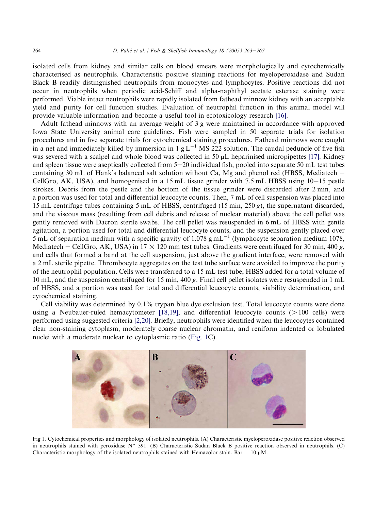<span id="page-1-0"></span>isolated cells from kidney and similar cells on blood smears were morphologically and cytochemically characterised as neutrophils. Characteristic positive staining reactions for myeloperoxidase and Sudan Black B readily distinguished neutrophils from monocytes and lymphocytes. Positive reactions did not occur in neutrophils when periodic acid-Schiff and alpha-naphthyl acetate esterase staining were performed. Viable intact neutrophils were rapidly isolated from fathead minnow kidney with an acceptable yield and purity for cell function studies. Evaluation of neutrophil function in this animal model will provide valuable information and become a useful tool in ecotoxicology research [\[16\].](#page-3-0)

Adult fathead minnows with an average weight of 3 g were maintained in accordance with approved Iowa State University animal care guidelines. Fish were sampled in 50 separate trials for isolation procedures and in five separate trials for cytochemical staining procedures. Fathead minnows were caught in a net and immediately killed by immersion in 1 g  $L^{-1}$  MS 222 solution. The caudal peduncle of five fish was severed with a scalpel and whole blood was collected in 50  $\mu$ L heparinised micropipettes [\[17\].](#page-3-0) Kidney and spleen tissue were aseptically collected from  $5-20$  individual fish, pooled into separate 50 mL test tubes containing 30 mL of Hank's balanced salt solution without Ca, Mg and phenol red (HBSS, Mediatech  $-$ CellGro, AK, USA), and homogenised in a 15 mL tissue grinder with 7.5 mL HBSS using  $10-15$  pestle strokes. Debris from the pestle and the bottom of the tissue grinder were discarded after 2 min, and a portion was used for total and differential leucocyte counts. Then, 7 mL of cell suspension was placed into 15 mL centrifuge tubes containing 5 mL of HBSS, centrifuged (15 min, 250 g), the supernatant discarded, and the viscous mass (resulting from cell debris and release of nuclear material) above the cell pellet was gently removed with Dacron sterile swabs. The cell pellet was resuspended in 6 mL of HBSS with gentle agitation, a portion used for total and differential leucocyte counts, and the suspension gently placed over  $5 \text{ mL}$  of separation medium with a specific gravity of 1.078 g mL<sup>-1</sup> (lymphocyte separation medium 1078, Mediatech – CellGro, AK, USA) in  $17 \times 120$  mm test tubes. Gradients were centrifuged for 30 min, 400 g, and cells that formed a band at the cell suspension, just above the gradient interface, were removed with a 2 mL sterile pipette. Thrombocyte aggregates on the test tube surface were avoided to improve the purity of the neutrophil population. Cells were transferred to a 15 mL test tube, HBSS added for a total volume of 10 mL, and the suspension centrifuged for 15 min, 400 g. Final cell pellet isolates were resuspended in 1 mL of HBSS, and a portion was used for total and differential leucocyte counts, viability determination, and cytochemical staining.

Cell viability was determined by 0.1% trypan blue dye exclusion test. Total leucocyte counts were done using a Neubauer-ruled hemacytometer  $[18,19]$ , and differential leucocyte counts  $(>100 \text{ cells})$  were performed using suggested criteria [\[2,20\].](#page-3-0) Briefly, neutrophils were identified when the leucocytes contained clear non-staining cytoplasm, moderately coarse nuclear chromatin, and reniform indented or lobulated nuclei with a moderate nuclear to cytoplasmic ratio (Fig. 1C).



Fig 1. Cytochemical properties and morphology of isolated neutrophils. (A) Characteristic myeloperoxidase positive reaction observed in neutrophils stained with peroxidase  $N^{\circ}$  391. (B) Characteristic Sudan Black B positive reaction observed in neutrophils. (C) Characteristic morphology of the isolated neutrophils stained with Hemacolor stain. Bar =  $10 \mu M$ .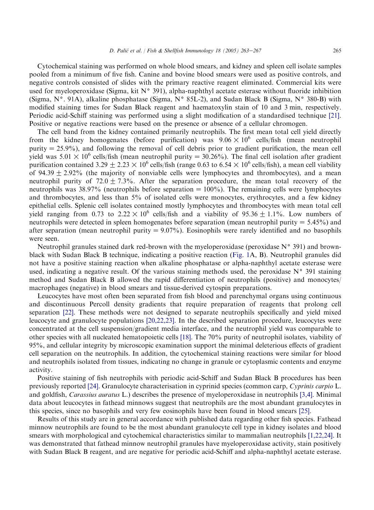Cytochemical staining was performed on whole blood smears, and kidney and spleen cell isolate samples pooled from a minimum of five fish. Canine and bovine blood smears were used as positive controls, and negative controls consisted of slides with the primary reactive reagent eliminated. Commercial kits were used for myeloperoxidase (Sigma, kit  $N^{\circ}$  391), alpha-naphthyl acetate esterase without fluoride inhibition (Sigma,  $N^{\circ}$ , 91A), alkaline phosphatase (Sigma,  $N^{\circ}$  85L-2), and Sudan Black B (Sigma,  $N^{\circ}$  380-B) with modified staining times for Sudan Black reagent and haematoxylin stain of 10 and 3 min, respectively. Periodic acid-Schiff staining was performed using a slight modification of a standardised technique [\[21\]](#page-4-0). Positive or negative reactions were based on the presence or absence of a cellular chromogen.

The cell band from the kidney contained primarily neutrophils. The first mean total cell yield directly from the kidney homogenates (before purification) was  $9.06 \times 10^6$  cells/fish (mean neutrophil purity  $= 25.9\%$ ), and following the removal of cell debris prior to gradient purification, the mean cell yield was  $5.01 \times 10^6$  cells/fish (mean neutrophil purity = 30.26%). The final cell isolation after gradient purification contained 3.29  $\pm$  2.23  $\times$  10<sup>6</sup> cells/fish (range 0.63 to 6.54  $\times$  10<sup>6</sup> cells/fish), a mean cell viability of  $94.39 + 2.92\%$  (the majority of nonviable cells were lymphocytes and thrombocytes), and a mean neutrophil purity of 72.0  $\pm$  7.3%. After the separation procedure, the mean total recovery of the neutrophils was 38.97% (neutrophils before separation  $= 100\%$ ). The remaining cells were lymphocytes and thrombocytes, and less than 5% of isolated cells were monocytes, erythrocytes, and a few kidney epithelial cells. Splenic cell isolates contained mostly lymphocytes and thrombocytes with mean total cell yield ranging from 0.73 to  $2.22 \times 10^6$  cells/fish and a viability of 95.36  $\pm$  1.1%. Low numbers of neutrophils were detected in spleen homogenates before separation (mean neutrophil purity  $= 5.45\%$ ) and after separation (mean neutrophil purity  $= 9.07\%$ ). Eosinophils were rarely identified and no basophils were seen.

Neutrophil granules stained dark red-brown with the myeloperoxidase (peroxidase  $N^{\circ}$  391) and brownblack with Sudan Black B technique, indicating a positive reaction [\(Fig. 1A](#page-1-0), B). Neutrophil granules did not have a positive staining reaction when alkaline phosphatase or alpha-naphthyl acetate esterase were used, indicating a negative result. Of the various staining methods used, the peroxidase  $N^{\circ}$  391 staining method and Sudan Black B allowed the rapid differentiation of neutrophils (positive) and monocytes/ macrophages (negative) in blood smears and tissue-derived cytospin preparations.

Leucocytes have most often been separated from fish blood and parenchymal organs using continuous and discontinuous Percoll density gradients that require preparation of reagents that prolong cell separation [\[22\]](#page-4-0). These methods were not designed to separate neutrophils specifically and yield mixed leucocyte and granulocyte populations [\[20,22,23\].](#page-4-0) In the described separation procedure, leucocytes were concentrated at the cell suspension/gradient media interface, and the neutrophil yield was comparable to other species with all nucleated hematopoietic cells [\[18\].](#page-3-0) The 70% purity of neutrophil isolates, viability of 95%, and cellular integrity by microscopic examination support the minimal deleterious effects of gradient cell separation on the neutrophils. In addition, the cytochemical staining reactions were similar for blood and neutrophils isolated from tissues, indicating no change in granule or cytoplasmic contents and enzyme activity.

Positive staining of fish neutrophils with periodic acid-Schiff and Sudan Black B procedures has been previously reported [\[24\]](#page-4-0). Granulocyte characterisation in cyprinid species (common carp, Cyprinis carpio L. and goldfish, Carassius auratus L.) describes the presence of myeloperoxidase in neutrophils [\[3,4\].](#page-3-0) Minimal data about leucocytes in fathead minnows suggest that neutrophils are the most abundant granulocytes in this species, since no basophils and very few eosinophils have been found in blood smears [\[25\].](#page-4-0)

Results of this study are in general accordance with published data regarding other fish species. Fathead minnow neutrophils are found to be the most abundant granulocyte cell type in kidney isolates and blood smears with morphological and cytochemical characteristics similar to mammalian neutrophils [\[1,22,24\]](#page-3-0). It was demonstrated that fathead minnow neutrophil granules have myeloperoxidase activity, stain positively with Sudan Black B reagent, and are negative for periodic acid-Schiff and alpha-naphthyl acetate esterase.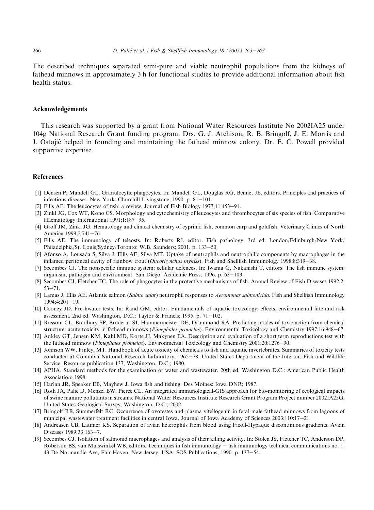<span id="page-3-0"></span>The described techniques separated semi-pure and viable neutrophil populations from the kidneys of fathead minnows in approximately 3 h for functional studies to provide additional information about fish health status.

## Acknowledgements

This research was supported by a grant from National Water Resources Institute No 2002IA25 under 104g National Research Grant funding program. Drs. G. J. Atchison, R. B. Bringolf, J. E. Morris and J. Ostojić helped in founding and maintaining the fathead minnow colony. Dr. E. C. Powell provided supportive expertise.

## References

- [1] Densen P, Mandell GL. Granulocytic phagocytes. In: Mandell GL, Douglas RG, Bennet JE, editors. Principles and practices of infectious diseases. New York: Churchill Livingstone; 1990. p. 81-101.
- [2] Ellis AE. The leucocytes of fish: a review. Journal of Fish Biology  $1977;11:453-91$ .
- [3] Zinkl JG, Cox WT, Kono CS. Morphology and cytochemistry of leucocytes and thrombocytes of six species of fish. Comparative Haematology International 1991;1:187-95.
- [4] Groff JM, Zinkl JG. Hematology and clinical chemistry of cyprinid fish, common carp and goldfish. Veterinary Clinics of North America 1999;2:741-76.
- [5] Ellis AE. The immunology of teleosts. In: Roberts RJ, editor. Fish pathology. 3rd ed. London/Edinburgh/New York/ Philadelphia/St. Louis/Sydney/Toronto: W.B. Saunders; 2001. p. 133-50.
- [6] Afonso A, Lousada S, Silva J, Ellis AE, Silva MT. Uptake of neutrophils and neutrophilic components by macrophages in the inflamed peritoneal cavity of rainbow trout (*Oncorhynchus mykiss*). Fish and Shellfish Immunology 1998;8:319–38.
- [7] Secombes CJ. The nonspecific immune system: cellular defences. In: Iwama G, Nakanishi T, editors. The fish immune system: organism, pathogen and environment. San Diego: Academic Press; 1996. p. 63-103.
- [8] Secombes CJ, Fletcher TC. The role of phagocytes in the protective mechanisms of fish. Annual Review of Fish Diseases 1992;2:  $53 - 71$ .
- [9] Lamas J, Ellis AE. Atlantic salmon (Salmo salar) neutrophil responses to Aeromonas salmonicida. Fish and Shellfish Immunology  $1994;4:201-19.$
- [10] Cooney JD. Freshwater tests. In: Rand GM, editor. Fundamentals of aquatic toxicology: effects, environmental fate and risk assessment. 2nd ed. Washington, D.C.: Taylor & Francis; 1995. p. 71-102.
- [11] Russom CL, Bradbury SP, Broderus SJ, Hammermeister DE, Drummond RA. Predicting modes of toxic action from chemical structure: acute toxicity in fathead minnows (Pimephales promelas). Environmental Toxicology and Chemistry 1997;16:948–67.
- [12] Ankley GT, Jensen KM, Kahl MD, Korte JJ, Makynen EA. Description and evaluation of a short term reproductions test with the fathead minnow (Pimephales promelas). Environmental Toxicology and Chemistry 2001;20:1276-90.
- [13] Johnson WW, Finley, MT. Handbook of acute toxicity of chemicals to fish and aquatic invertebrates. Summaries of toxicity tests conducted at Columbia National Research Laboratory, 1965-78. United States Department of the Interior: Fish and Wildlife Service. Resource publication 137, Washington, D.C.; 1980.
- [14] APHA. Standard methods for the examination of water and wastewater. 20th ed. Washington D.C.: American Public Health Association; 1998.
- [15] Harlan JR, Speaker EB, Mayhew J. Iowa fish and fishing. Des Moines: Iowa DNR; 1987.
- [16] Roth JA, Palić D, Menzel BW, Pierce CL. An integrated immunological-GIS approach for bio-monitoring of ecological impacts of swine manure pollutants in streams. National Water Resources Institute Research Grant Program Project number 2002IA25G, United States Geological Survey, Washington, D.C.; 2002.
- [17] Bringolf RB, Summerfelt RC. Occurrence of ovotestes and plasma vitellogenin in feral male fathead minnows from lagoons of municipal wastewater treatment facilities in central Iowa. Journal of Iowa Academy of Sciences  $2003:110:17-21$ .
- [18] Andreasen CB, Latimer KS. Separation of avian heterophils from blood using Ficoll-Hypaque discontinuous gradients. Avian Diseases 1989;33:163-7.
- [19] Secombes CJ. Isolation of salmonid macrophages and analysis of their killing activity. In: Stolen JS, Fletcher TC, Anderson DP, Roberson BS, van Muiswinkel WB, editors. Techniques in fish immunology - fish immunology technical communications no. 1. 43 De Normandie Ave, Fair Haven, New Jersey, USA: SOS Publications; 1990. p. 137-54.